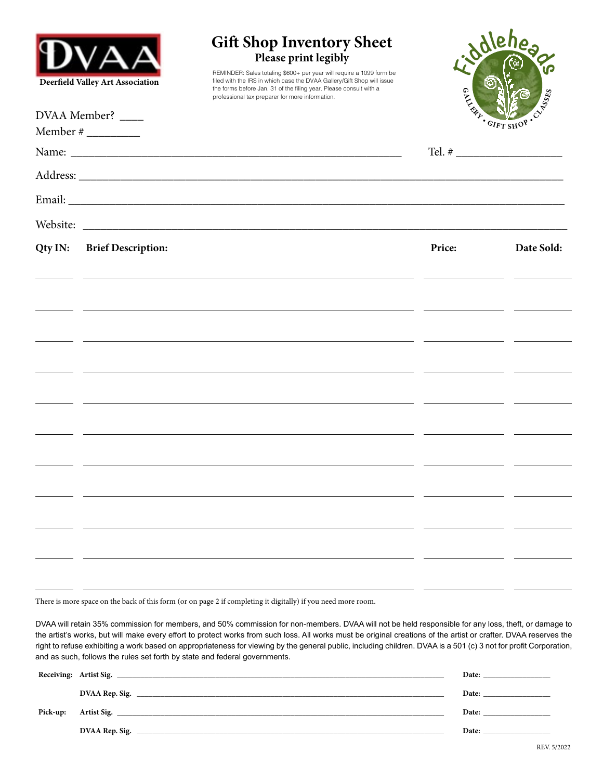| Deerfield Valley Art Association<br>DVAA Member? _____ |                           | <b>Gift Shop Inventory Sheet</b><br>Please print legibly<br>REMINDER: Sales totaling \$600+ per year will require a 1099 form be<br>filed with the IRS in which case the DVAA Gallery/Gift Shop will issue<br>the forms before Jan. 31 of the filing year. Please consult with a<br>professional tax preparer for more information. | Jollehes<br>GAMAGAY<br>CA SSES<br>$G_{IFT \, SHO}$ |            |
|--------------------------------------------------------|---------------------------|-------------------------------------------------------------------------------------------------------------------------------------------------------------------------------------------------------------------------------------------------------------------------------------------------------------------------------------|----------------------------------------------------|------------|
|                                                        |                           |                                                                                                                                                                                                                                                                                                                                     |                                                    |            |
|                                                        |                           |                                                                                                                                                                                                                                                                                                                                     |                                                    |            |
|                                                        |                           |                                                                                                                                                                                                                                                                                                                                     |                                                    |            |
|                                                        |                           |                                                                                                                                                                                                                                                                                                                                     |                                                    |            |
| Qty IN:                                                | <b>Brief Description:</b> |                                                                                                                                                                                                                                                                                                                                     | Price:                                             | Date Sold: |
|                                                        |                           |                                                                                                                                                                                                                                                                                                                                     |                                                    |            |
|                                                        |                           |                                                                                                                                                                                                                                                                                                                                     |                                                    |            |
|                                                        |                           |                                                                                                                                                                                                                                                                                                                                     |                                                    |            |
|                                                        |                           |                                                                                                                                                                                                                                                                                                                                     |                                                    |            |
|                                                        |                           |                                                                                                                                                                                                                                                                                                                                     |                                                    |            |
|                                                        |                           |                                                                                                                                                                                                                                                                                                                                     |                                                    |            |
|                                                        |                           |                                                                                                                                                                                                                                                                                                                                     |                                                    |            |
|                                                        |                           |                                                                                                                                                                                                                                                                                                                                     |                                                    |            |
|                                                        |                           |                                                                                                                                                                                                                                                                                                                                     |                                                    |            |
|                                                        |                           |                                                                                                                                                                                                                                                                                                                                     |                                                    |            |
|                                                        |                           |                                                                                                                                                                                                                                                                                                                                     |                                                    |            |
|                                                        |                           |                                                                                                                                                                                                                                                                                                                                     |                                                    |            |
|                                                        |                           |                                                                                                                                                                                                                                                                                                                                     |                                                    |            |

There is more space on the back of this form (or on page 2 if completing it digitally) if you need more room.

DVAA will retain 35% commission for members, and 50% commission for non-members. DVAA will not be held responsible for any loss, theft, or damage to the artist's works, but will make every effort to protect works from such loss. All works must be original creations of the artist or crafter. DVAA reserves the right to refuse exhibiting a work based on appropriateness for viewing by the general public, including children. DVAA is a 501 (c) 3 not for profit Corporation, and as such, follows the rules set forth by state and federal governments.

|          |                                                                              | Date: |
|----------|------------------------------------------------------------------------------|-------|
|          | DVAA Rep. Sig.                                                               | Date: |
| Pick-up: | Artist Sig.                                                                  | Date: |
|          | DVAA Rep. Sig.<br><u> 1989 - Johann Stoff, amerikansk politiker (* 1908)</u> | Date: |